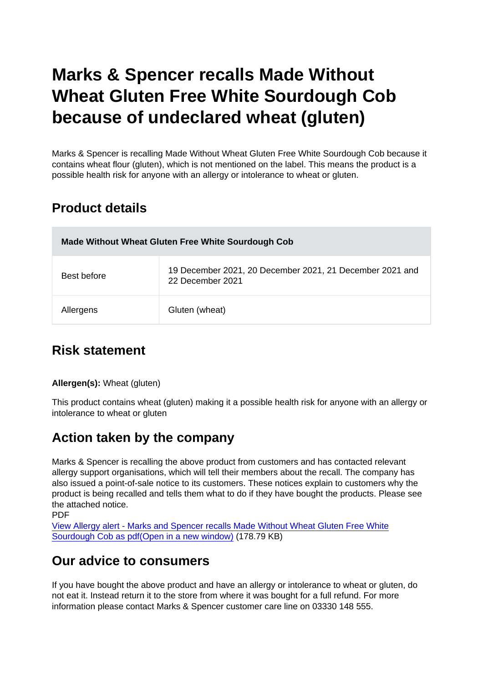# Marks & Spencer recalls Made Without Wheat Gluten Free White Sourdough Cob because of undeclared wheat (gluten)

Marks & Spencer is recalling Made Without Wheat Gluten Free White Sourdough Cob because it contains wheat flour (gluten), which is not mentioned on the label. This means the product is a possible health risk for anyone with an allergy or intolerance to wheat or gluten.

### Product details

| Made Without Wheat Gluten Free White Sourdough Cob |                                                                              |
|----------------------------------------------------|------------------------------------------------------------------------------|
| Best before                                        | 19 December 2021, 20 December 2021, 21 December 2021 and<br>22 December 2021 |
| Allergens                                          | Gluten (wheat)                                                               |

# Risk statement

Allergen(s): Wheat (gluten)

This product contains wheat (gluten) making it a possible health risk for anyone with an allergy or intolerance to wheat or gluten

# Action taken by the company

Marks & Spencer is recalling the above product from customers and has contacted relevant allergy support organisations, which will tell their members about the recall. The company has also issued a point-of-sale notice to its customers. These notices explain to customers why the product is being recalled and tells them what to do if they have bought the products. Please see the attached notice.

PDF

[View Allergy alert - Marks and Spencer recalls Made Without Wheat Gluten Free White](https://s3-eu-west-1.amazonaws.com/fsa-alerts-files/production/FSA-AA-77-2021/FSA-AA-77-2021-Marks-and-Spencer-recalls-Made-Without-Wheat-Gluten-Free-White-Sourdough-Cob-because-of-undeclared-wheat-gluten.pdf) [Sourdough Cob as pdf\(Open in a new window\)](https://s3-eu-west-1.amazonaws.com/fsa-alerts-files/production/FSA-AA-77-2021/FSA-AA-77-2021-Marks-and-Spencer-recalls-Made-Without-Wheat-Gluten-Free-White-Sourdough-Cob-because-of-undeclared-wheat-gluten.pdf) (178.79 KB)

#### Our advice to consumers

If you have bought the above product and have an allergy or intolerance to wheat or gluten, do not eat it. Instead return it to the store from where it was bought for a full refund. For more information please contact Marks & Spencer customer care line on 03330 148 555.